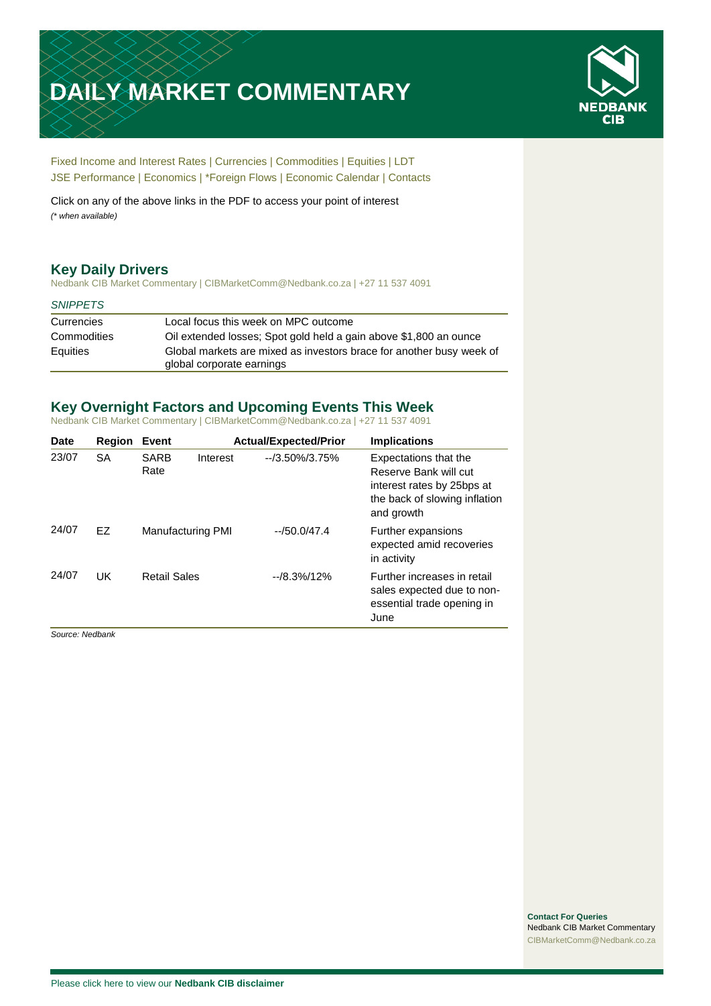# **DAILY MARKET COMMENTARY**



[Fixed Income and Interest Rates](#page-1-0) | [Currencies](#page-2-0) | [Commodities](#page-3-0) [| Equities](#page-4-0) | [LDT](#page-5-0) [JSE Performance](#page-6-0) [| Economics](#page-7-0) | \*Foreign Flows | [Economic Calendar](#page-7-0) | [Contacts](#page-8-0)

Click on any of the above links in the PDF to access your point of interest *(\* when available)*

# **Key Daily Drivers**

Nedbank CIB Market Commentary | CIBMarketComm@Nedbank.co.za | +27 11 537 4091

### *SNIPPETS*

| Currencies  | Local focus this week on MPC outcome                                 |
|-------------|----------------------------------------------------------------------|
| Commodities | Oil extended losses; Spot gold held a gain above \$1,800 an ounce    |
| Equities    | Global markets are mixed as investors brace for another busy week of |
|             | global corporate earnings                                            |

# **Key Overnight Factors and Upcoming Events This Week**

Nedbank CIB Market Commentary | CIBMarketComm@Nedbank.co.za | +27 11 537 4091

| <b>Date</b> | <b>Region</b> | <b>Event</b>        |                   | <b>Actual/Expected/Prior</b> | <b>Implications</b>                                                                                                         |
|-------------|---------------|---------------------|-------------------|------------------------------|-----------------------------------------------------------------------------------------------------------------------------|
| 23/07       | <b>SA</b>     | <b>SARB</b><br>Rate | Interest          | $-73.50\%/3.75\%$            | Expectations that the<br>Reserve Bank will cut<br>interest rates by 25bps at<br>the back of slowing inflation<br>and growth |
| 24/07       | FZ.           |                     | Manufacturing PMI | $-50.0/47.4$                 | Further expansions<br>expected amid recoveries<br>in activity                                                               |
| 24/07       | UK            | <b>Retail Sales</b> |                   | $-18.3\%/12\%$               | Further increases in retail<br>sales expected due to non-<br>essential trade opening in<br>June                             |

*Source: Nedbank*

**Contact For Queries** Nedbank CIB Market Commentary [CIBMarketComm@Nedbank.co.za](file:///C:/Users/Paul-Rose/AppData/Roaming/Bluecurve/templates/CIBMarketComm@Nedbank.co.za)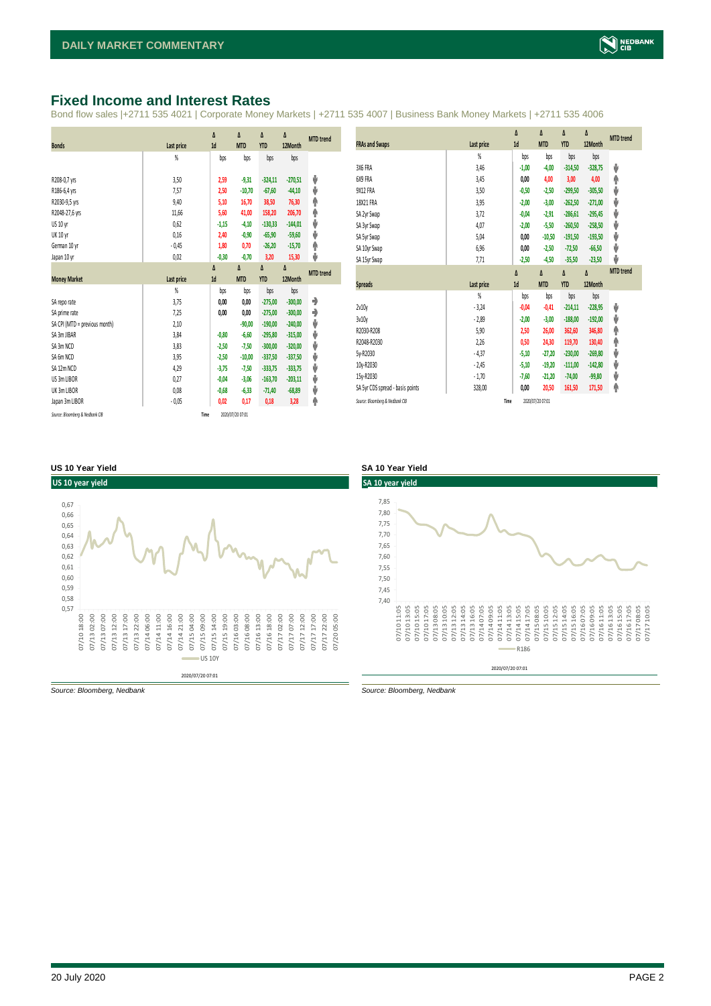# <span id="page-1-0"></span>**Fixed Income and Interest Rates**

Bond flow sales |+2711 535 4021 | Corporate Money Markets | +2711 535 4007 | Business Bank Money Markets | +2711 535 4006

|                                 |                | Δ       | Δ                | Δ          | Δ         | <b>MTD</b> trend |
|---------------------------------|----------------|---------|------------------|------------|-----------|------------------|
| <b>Bonds</b>                    | Last price     | 1d      | <b>MTD</b>       | <b>YTD</b> | 12Month   |                  |
|                                 | %              | bps     | bps              | bps        | bps       |                  |
|                                 |                |         |                  |            |           |                  |
| R208-0,7 yrs                    | 3,50           | 2,59    | $-9,31$          | $-324,11$  | $-270,51$ | J                |
| R186-6,4 yrs                    | 7,57           | 2,50    | $-10,70$         | $-67,60$   | $-44,10$  | ⊎                |
| R2030-9,5 yrs                   | 9,40           | 5,10    | 16,70            | 38,50      | 76,30     | ♠                |
| R2048-27,6 yrs                  | 11,66          | 5,60    | 41,00            | 158,20     | 206,70    | Ϋ                |
| US 10 yr                        | 0,62           | $-1,15$ | $-4,10$          | $-130,33$  | $-144,01$ | V                |
| <b>UK 10 yr</b>                 | 0,16           | 2,40    | $-0,90$          | $-65,90$   | $-59,60$  | ⊎                |
| German 10 yr                    | $-0,45$        | 1,80    | 0,70             | $-26,20$   | $-15,70$  | φ                |
| Japan 10 yr                     | 0,02           | $-0,30$ | $-0,70$          | 3,20       | 15,30     | J                |
|                                 |                | Δ       | Δ                | Δ          | Δ         | <b>MTD</b> trend |
| <b>Money Market</b>             | Last price     | 1d      | <b>MTD</b>       | <b>YTD</b> | 12Month   |                  |
|                                 | $\frac{9}{20}$ | bps     | bps              | bps        | bps       |                  |
| SA repo rate                    | 3,75           | 0,00    | 0,00             | $-275,00$  | $-300,00$ | ۰                |
| SA prime rate                   | 7,25           | 0,00    | 0,00             | $-275.00$  | $-300.00$ | ۰                |
| SA CPI (MTD = previous month)   | 2,10           |         | $-90,00$         | $-190,00$  | $-240,00$ | ⊎                |
| SA 3m JIBAR                     | 3,84           | $-0,80$ | $-6,60$          | $-295,80$  | $-315,00$ | ⊎                |
| SA 3m NCD                       | 3,83           | $-2,50$ | $-7,50$          | $-300.00$  | $-320,00$ | V                |
| SA 6m NCD                       | 3,95           | $-2,50$ | $-10,00$         | $-337,50$  | $-337,50$ | ψ                |
| SA 12m NCD                      | 4,29           | $-3,75$ | $-7,50$          | $-333,75$  | $-333,75$ | ⊎                |
| US 3m LIBOR                     | 0,27           | $-0,04$ | $-3,06$          | $-163,70$  | $-203,11$ | V                |
| UK 3m LIBOR                     | 0,08           | $-0,68$ | $-6,33$          | $-71,40$   | $-68,89$  | ⊎                |
| Japan 3m LIBOR                  | $-0,05$        | 0,02    | 0,17             | 0,18       | 3,28      | Φ                |
| Source: Bloomberg & Nedbank CIB |                | Time    | 2020/07/20 07:01 |            |           |                  |

|                                  |                | $\Delta$ | Δ                | Δ          | Δ         | <b>MTD</b> trend |
|----------------------------------|----------------|----------|------------------|------------|-----------|------------------|
| <b>FRAs and Swaps</b>            | Last price     | 1d       | <b>MTD</b>       | <b>YTD</b> | 12Month   |                  |
|                                  | $\frac{9}{20}$ | bps      | bps              | bps        | bps       |                  |
| 3X6 FRA                          | 3,46           | $-1,00$  | $-4,00$          | $-314,50$  | $-328,75$ | ψ                |
| 6X9 FRA                          | 3,45           | 0,00     | 4,00             | 3,00       | 4,00      | ۸                |
| 9X12 FRA                         | 3,50           | $-0,50$  | $-2,50$          | $-299,50$  | $-305,50$ | ψ                |
| 18X21 FRA                        | 3,95           | $-2,00$  | $-3,00$          | $-262.50$  | $-271,00$ | ψ                |
| SA 2yr Swap                      | 3,72           | $-0,04$  | $-2,91$          | $-286,61$  | $-295,45$ | ψ                |
| SA 3yr Swap                      | 4,07           | $-2,00$  | $-5,50$          | $-260,50$  | $-258,50$ | ψ                |
| SA 5yr Swap                      | 5,04           | 0,00     | $-10,50$         | $-191,50$  | $-193,50$ | ψ                |
| SA 10yr Swap                     | 6,96           | 0,00     | $-2,50$          | $-72,50$   | $-66,50$  | ψ                |
| SA 15yr Swap                     | 7,71           | $-2,50$  | $-4,50$          | $-35,50$   | $-23,50$  | J                |
|                                  |                | $\Delta$ | Δ                | Δ          | Δ         | <b>MTD</b> trend |
| <b>Spreads</b>                   | Last price     | 1d       | <b>MTD</b>       | <b>YTD</b> | 12Month   |                  |
|                                  | $\frac{9}{20}$ | bps      | bps              | bps        | bps       |                  |
| 2v10v                            | $-3,24$        | $-0,04$  | $-0,41$          | $-214,11$  | $-228,95$ | ψ                |
| 3v10y                            | $-2,89$        | $-2,00$  | $-3,00$          | $-188,00$  | $-192,00$ | ψ                |
| R2030-R208                       | 5,90           | 2,50     | 26,00            | 362,60     | 346,80    | ۸                |
| R2048-R2030                      | 2,26           | 0,50     | 24,30            | 119,70     | 130,40    | ۸                |
| 5y-R2030                         | $-4,37$        | $-5,10$  | $-27,20$         | $-230,00$  | $-269,80$ | ψ                |
| 10y-R2030                        | $-2,45$        | $-5,10$  | $-19,20$         | $-111,00$  | $-142,80$ | ψ                |
| 15y-R2030                        | $-1,70$        | $-7,60$  | $-21,20$         | $-74,00$   | $-99,80$  | ψ                |
| SA 5yr CDS spread - basis points | 328,00         | 0,00     | 20,50            | 161,50     | 171,50    | ۸                |
| Source: Bloomberg & Nedbank CIB  |                | Time     | 2020/07/20 07:01 |            |           |                  |

### **US 10 Year Yield SA 10 Year Yield**





*Source: Bloomberg, Nedbank Source: Bloomberg, Nedbank*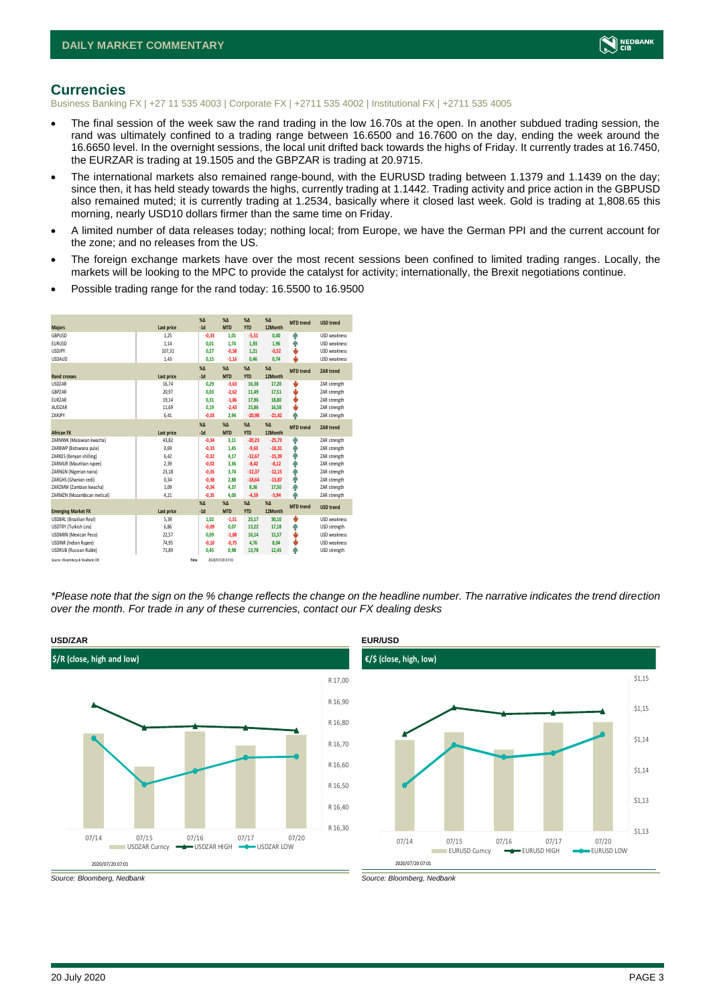

### <span id="page-2-0"></span>**Currencies**

Business Banking FX | +27 11 535 4003 | Corporate FX | +2711 535 4002 | Institutional FX | +2711 535 4005

- The final session of the week saw the rand trading in the low 16.70s at the open. In another subdued trading session, the rand was ultimately confined to a trading range between 16.6500 and 16.7600 on the day, ending the week around the 16.6650 level. In the overnight sessions, the local unit drifted back towards the highs of Friday. It currently trades at 16.7450, the EURZAR is trading at 19.1505 and the GBPZAR is trading at 20.9715.
- The international markets also remained range-bound, with the EURUSD trading between 1.1379 and 1.1439 on the day; since then, it has held steady towards the highs, currently trading at 1.1442. Trading activity and price action in the GBPUSD also remained muted; it is currently trading at 1.2534, basically where it closed last week. Gold is trading at 1,808.65 this morning, nearly USD10 dollars firmer than the same time on Friday.
- A limited number of data releases today; nothing local; from Europe, we have the German PPI and the current account for the zone; and no releases from the US.
- The foreign exchange markets have over the most recent sessions been confined to limited trading ranges. Locally, the markets will be looking to the MPC to provide the catalyst for activity; internationally, the Brexit negotiations continue.
- Possible trading range for the rand today: 16.5500 to 16.9500

| <b>Majors</b>                   | Last price | X <sub>A</sub><br>$-1d$ | X <sub>A</sub><br><b>MTD</b> | $%$ $\Lambda$<br><b>YTD</b> | $% \Lambda$<br>12Month | <b>MTD</b> trend | <b>USD trend</b>    |
|---------------------------------|------------|-------------------------|------------------------------|-----------------------------|------------------------|------------------|---------------------|
| GBPUSD                          | 1.25       | $-0,33$                 | 1.01                         | $-5,51$                     | 0.40                   | ŵ                | <b>USD</b> weakness |
| <b>EURUSD</b>                   | 1,14       | 0,01                    | 1.74                         | 1,93                        | 1,96                   | Φ                | <b>USD</b> weakness |
| LISDIPY                         | 107,31     | 0.27                    | $-0.58$                      | 1,21                        | $-0,52$                | U                | <b>USD</b> weakness |
| <b>USDAUD</b>                   | 1,43       | 0,15                    | $-1,16$                      | 0,46                        | 0,74                   | ٠                | USD weakness        |
|                                 |            | X <sub>A</sub>          | X <sub>A</sub>               | $% \Delta$                  | $% \Delta$             | <b>MTD</b> trend | <b>ZAR trend</b>    |
| <b>Rand crosses</b>             | Last price | $-1d$                   | <b>MTD</b>                   | <b>YTD</b>                  | 12Month                |                  |                     |
| <b>USDZAR</b>                   | 16,74      | 0.29                    | $-3,63$                      | 16,38                       | 17,20                  | ψ                | ZAR strength        |
| GBPZAR                          | 20.97      | 0.03                    | $-2.62$                      | 11,49                       | 17.51                  | U                | ZAR strength        |
| <b>FURZAR</b>                   | 19,14      | 0.31                    | $-1,86$                      | 17,96                       | 18,80                  | ψ                | ZAR strength        |
| AUD7AR                          | 11,69      | 0.19                    | $-2,43$                      | 15,86                       | 16,58                  | v                | ZAR strength        |
| 7ARIPY                          | 6,41       | $-0.03$                 | 2.94                         | $-20,98$                    | $-21,42$               | Φ                | ZAR strength        |
|                                 |            | X <sub>A</sub>          | X <sub>A</sub>               | $%$ $\Lambda$               | $% \Lambda$            | <b>MTD</b> trend | <b>ZAR trend</b>    |
| <b>African FX</b>               | Last price | $-1d$                   | <b>MTD</b>                   | <b>YTD</b>                  | 12Month                |                  |                     |
| ZARMWK (Malawian kwacha)        | 43.82      | $-0.34$                 | 3.11                         | $-20.23$                    | $-25.73$               | Φ                | ZAR strength        |
| ZARBWP (Botswana pula)          | 0.69       | $-0,33$                 | 1.45                         | $-9,63$                     | $-10,31$               | Φ                | ZAR strength        |
| ZARKES (Kenyan shilling)        | 6,42       | $-0,32$                 | 4.17                         | $-12,67$                    | $-15,39$               | Φ                | ZAR strength        |
| ZARMUR (Mauritian rupee)        | 2.39       | $-0.02$                 | 3.36                         | $-8,42$                     | $-8,12$                | ŵ                | ZAR strength        |
| ZARNGN (Nigerian naira)         | 23,18      | $-0,35$                 | 3.74                         | $-12,37$                    | $-12,15$               | Φ                | ZAR strength        |
| ZARGHS (Ghanian cedi)           | 0.34       | $-0.38$                 | 2.88                         | $-18,64$                    | $-13,87$               | Φ                | ZAR strength        |
| ZARZMW (Zambian kwacha)         | 1.09       | $-0.34$                 | 4.37                         | 8,36                        | 17,50                  | 4                | ZAR strength        |
| ZARMZN (Mozambican metical)     | 4,21       | $-0.35$                 | 4.00                         | $-4,59$                     | $-5,94$                | Φ                | ZAR strength        |
|                                 |            | $X\Delta$               | X <sub>A</sub>               | $% \Delta$                  | $% \Delta$             | <b>MTD</b> trend | <b>USD trend</b>    |
| <b>Emerging Market FX</b>       | Last price | $-1d$                   | <b>MTD</b>                   | <b>YTD</b>                  | 12Month                |                  |                     |
| <b>USDBRL (Brazilian Real)</b>  | 5.39       | 1,02                    | $-1.51$                      | 25,17                       | 30,10                  | U                | <b>USD</b> weakness |
| USDTRY (Turkish Lira)           | 6,86       | $-0,09$                 | 0,07                         | 13,22                       | 17,18                  | Φ                | USD strength        |
| <b>USDMXN (Mexican Peso)</b>    | 22,57      | 0.09                    | $-1.88$                      | 16,14                       | 15,57                  | v                | <b>USD</b> weakness |
| <b>USDINR</b> (Indian Rupee)    | 74,95      | $-0,10$                 | $-0,75$                      | 4,76                        | 8,04                   | v                | USD weakness        |
| <b>USDRUB (Russian Ruble)</b>   | 71,89      | 0.45                    | 0.98                         | 13.78                       | 12.45                  | ٨                | USD strength        |
| Source: Bloomberg & Nedbank CIB | Time       |                         | 2020/07/20 07:01             |                             |                        |                  |                     |

*\*Please note that the sign on the % change reflects the change on the headline number. The narrative indicates the trend direction over the month. For trade in any of these currencies, contact our FX dealing desks*





*Source: Bloomberg, Nedbank Source: Bloomberg, Nedbank*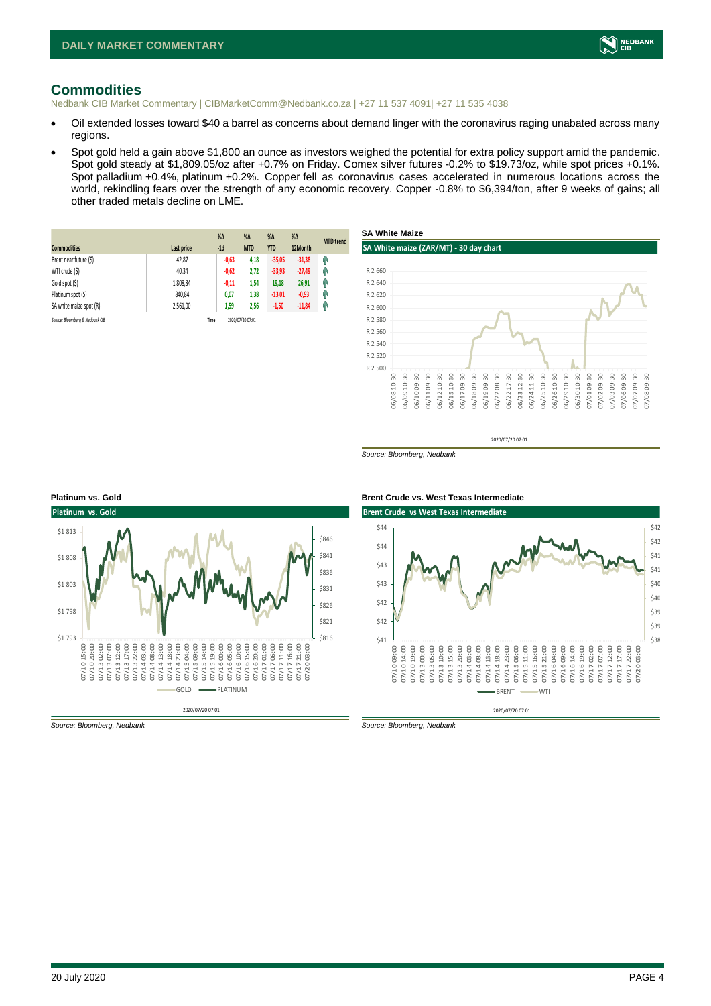

# <span id="page-3-0"></span>**Commodities**

Nedbank CIB Market Commentary | CIBMarketComm@Nedbank.co.za | +27 11 537 4091| +27 11 535 4038

- Oil extended losses toward \$40 a barrel as concerns about demand linger with the coronavirus raging unabated across many regions.
- Spot gold held a gain above \$1,800 an ounce as investors weighed the potential for extra policy support amid the pandemic. Spot gold steady at \$1,809.05/oz after +0.7% on Friday. Comex silver futures -0.2% to \$19.73/oz, while spot prices +0.1%. Spot palladium +0.4%, platinum +0.2%. Copper fell as coronavirus cases accelerated in numerous locations across the world, rekindling fears over the strength of any economic recovery. Copper -0.8% to \$6,394/ton, after 9 weeks of gains; all other traded metals decline on LME.

| <b>Commodities</b>              | Last price | $%$ $\Delta$<br>$-1d$ | $\%$ $\Delta$<br><b>MTD</b> | $%$ $\Delta$<br><b>YTD</b> | %<br>12Month | <b>MTD</b> trend |
|---------------------------------|------------|-----------------------|-----------------------------|----------------------------|--------------|------------------|
| Brent near future (\$)          | 42,87      | $-0,63$               | 4,18                        | $-35,05$                   | $-31,38$     | 6                |
| WTI crude (\$)                  | 40,34      | $-0,62$               | 2,72                        | $-33,93$                   | $-27,49$     | 6                |
| Gold spot (\$)                  | 1808.34    | $-0.11$               | 1,54                        | 19,18                      | 26,91        | 4                |
| Platinum spot (\$)              | 840,84     | 0,07                  | 1,38                        | $-13,01$                   | $-0.93$      | q,               |
| SA white maize spot (R)         | 2 5 6 1.00 | 1,59                  | 2,56                        | $-1,50$                    | $-11,84$     | q                |
| Source: Bloombera & Nedbank CIB |            | Time                  | 2020/07/20 07:01            |                            |              |                  |



2020/07/20 07:01

*Source: Bloomberg, Nedbank*



*Source: Bloomberg, Nedbank Source: Bloomberg, Nedbank*

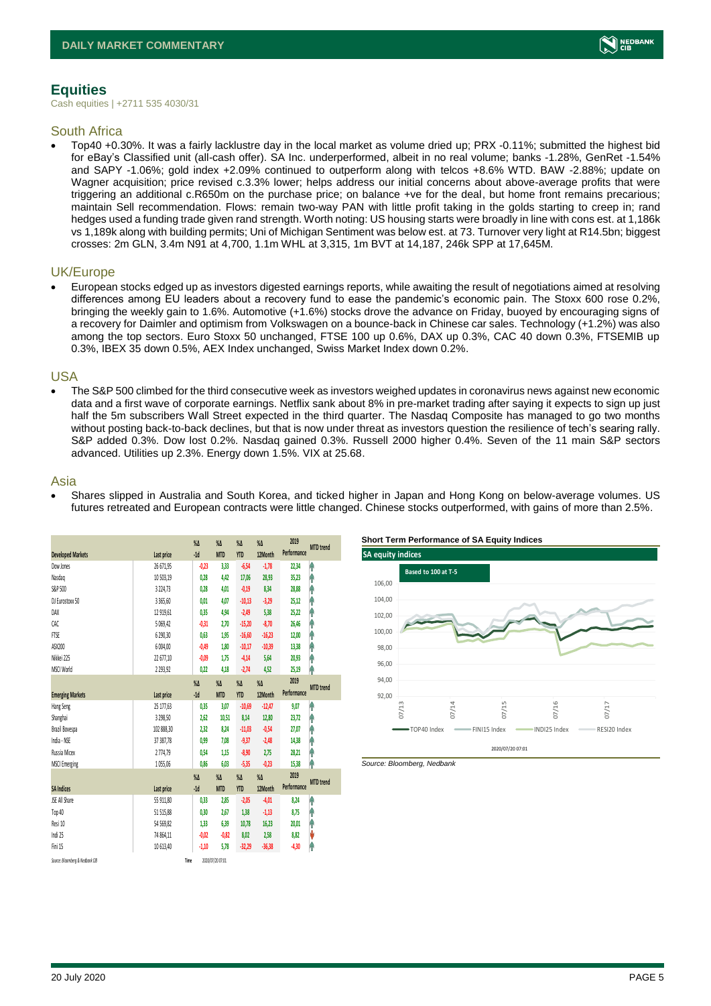

# <span id="page-4-0"></span>**Equities**

Cash equities | +2711 535 4030/31

### South Africa

• Top40 +0.30%. It was a fairly lacklustre day in the local market as volume dried up; PRX -0.11%; submitted the highest bid for eBay's Classified unit (all-cash offer). SA Inc. underperformed, albeit in no real volume; banks -1.28%, GenRet -1.54% and SAPY -1.06%; gold index +2.09% continued to outperform along with telcos +8.6% WTD. BAW -2.88%; update on Wagner acquisition; price revised c.3.3% lower; helps address our initial concerns about above-average profits that were triggering an additional c.R650m on the purchase price; on balance +ve for the deal, but home front remains precarious; maintain Sell recommendation. Flows: remain two-way PAN with little profit taking in the golds starting to creep in; rand hedges used a funding trade given rand strength. Worth noting: US housing starts were broadly in line with cons est. at 1,186k vs 1,189k along with building permits; Uni of Michigan Sentiment was below est. at 73. Turnover very light at R14.5bn; biggest crosses: 2m GLN, 3.4m N91 at 4,700, 1.1m WHL at 3,315, 1m BVT at 14,187, 246k SPP at 17,645M.

### UK/Europe

• European stocks edged up as investors digested earnings reports, while awaiting the result of negotiations aimed at resolving differences among EU leaders about a recovery fund to ease the pandemic's economic pain. The Stoxx 600 rose 0.2%, bringing the weekly gain to 1.6%. Automotive (+1.6%) stocks drove the advance on Friday, buoyed by encouraging signs of a recovery for Daimler and optimism from Volkswagen on a bounce-back in Chinese car sales. Technology (+1.2%) was also among the top sectors. Euro Stoxx 50 unchanged, FTSE 100 up 0.6%, DAX up 0.3%, CAC 40 down 0.3%, FTSEMIB up 0.3%, IBEX 35 down 0.5%, AEX Index unchanged, Swiss Market Index down 0.2%.

### USA

• The S&P 500 climbed for the third consecutive week as investors weighed updates in coronavirus news against new economic data and a first wave of corporate earnings. Netflix sank about 8% in pre-market trading after saying it expects to sign up just half the 5m subscribers Wall Street expected in the third quarter. The Nasdaq Composite has managed to go two months without posting back-to-back declines, but that is now under threat as investors question the resilience of tech's searing rally. S&P added 0.3%. Dow lost 0.2%. Nasdaq gained 0.3%. Russell 2000 higher 0.4%. Seven of the 11 main S&P sectors advanced. Utilities up 2.3%. Energy down 1.5%. VIX at 25.68.

### Asia

• Shares slipped in Australia and South Korea, and ticked higher in Japan and Hong Kong on below-average volumes. US futures retreated and European contracts were little changed. Chinese stocks outperformed, with gains of more than 2.5%.

|                                 |               | $\%$ $\Delta$ | $\%$ $\Delta$    | $\%$ $\Delta$ | $\%$ $\Delta$ | 2019        | <b>MTD</b> trend |
|---------------------------------|---------------|---------------|------------------|---------------|---------------|-------------|------------------|
| <b>Developed Markets</b>        | Last price    | $-1d$         | <b>MTD</b>       | <b>YTD</b>    | 12Month       | Performance |                  |
| Dow Jones                       | 26 671,95     | $-0,23$       | 3,33             | $-6,54$       | $-1,78$       | 22,34       | ۸                |
| Nasdao                          | 10 503,19     | 0,28          | 4.42             | 17,06         | 28,93         | 35,23       | ٨                |
| S&P 500                         | 3 2 2 4, 7 3  | 0.28          | 4.01             | $-0,19$       | 8,34          | 28,88       | Ĥ                |
| DJ Eurostoxx 50                 | 3 3 6 5 . 6 0 | 0.01          | 4.07             | $-10,13$      | $-3,29$       | 25,12       | ٨                |
| DAX                             | 12 919,61     | 0,35          | 4,94             | $-2,49$       | 5,38          | 25,22       | Ĥ                |
| CAC                             | 5 069,42      | $-0,31$       | 2.70             | $-15,20$      | $-8,70$       | 26,46       | ٨                |
| <b>FTSE</b>                     | 6 290,30      | 0,63          | 1,95             | $-16,60$      | $-16,23$      | 12,00       | Ĥ                |
| ASX200                          | 6 004,00      | $-0.49$       | 1.80             | $-10,17$      | $-10,39$      | 13,38       | Ĥ                |
| Nikkei 225                      | 22 677,10     | $-0.09$       | 1.75             | $-4,14$       | 5.64          | 20,93       | ۸                |
| MSCI World                      | 2 2 9 3 , 9 2 | 0,22          | 4,18             | $-2,74$       | 4,52          | 25,19       | ۸                |
|                                 |               | $\%$          | $\%$ $\Delta$    | $\%$ $\Delta$ | $\%$ $\Delta$ | 2019        |                  |
| <b>Emerging Markets</b>         | Last price    | $-1d$         | <b>MTD</b>       | <b>YTD</b>    | 12Month       | Performance | <b>MTD</b> trend |
| Hang Seng                       | 25 177,63     | 0,35          | 3,07             | $-10,69$      | $-12,47$      | 9,07        | ۸                |
| Shanghai                        | 3 2 9 8.50    | 2.62          | 10,51            | 8.14          | 12,80         | 23,72       | ۸                |
| Brazil Bovespa                  | 102 888,30    | 2,32          | 8,24             | $-11,03$      | $-0,54$       | 27,07       | ۸                |
| India - NSE                     | 37 387,78     | 0,99          | 7,08             | $-9,37$       | $-2,48$       | 14,38       | Ŷ                |
| Russia Micex                    | 2774,79       | 0,54          | 1,15             | $-8,90$       | 2,75          | 28,21       | ۸                |
| <b>MSCI Emerging</b>            | 1055,06       | 0.86          | 6,03             | $-5,35$       | $-0,23$       | 15,38       | ۸                |
|                                 |               | $\%$ $\Delta$ | $\%$ $\Delta$    | $\%$ $\Delta$ | $\%$ $\Delta$ | 2019        | <b>MTD</b> trend |
| <b>SA Indices</b>               | Last price    | $-1d$         | <b>MTD</b>       | <b>YTD</b>    | 12Month       | Performance |                  |
| <b>ISE All Share</b>            | 55 911,80     | 0,33          | 2,85             | $-2,05$       | $-4,01$       | 8,24        | ۸                |
| Top 40                          | 51 515,88     | 0,30          | 2,67             | 1,38          | $-1,13$       | 8,75        | ۸                |
| Resi 10                         | 54 569,82     | 1,33          | 6.39             | 10,78         | 16,23         | 20,01       | φ                |
| Indi 25                         | 74 864,11     | $-0.02$       | $-0,82$          | 8,02          | 2,58          | 8,82        | V                |
| Fini 15                         | 10 613,40     | $-1,10$       | 5,78             | $-32,29$      | $-36,38$      | $-4,30$     | ۸                |
| Source: Bloomberg & Nedbank CIB |               | Time          | 2020/07/20 07:01 |               |               |             |                  |



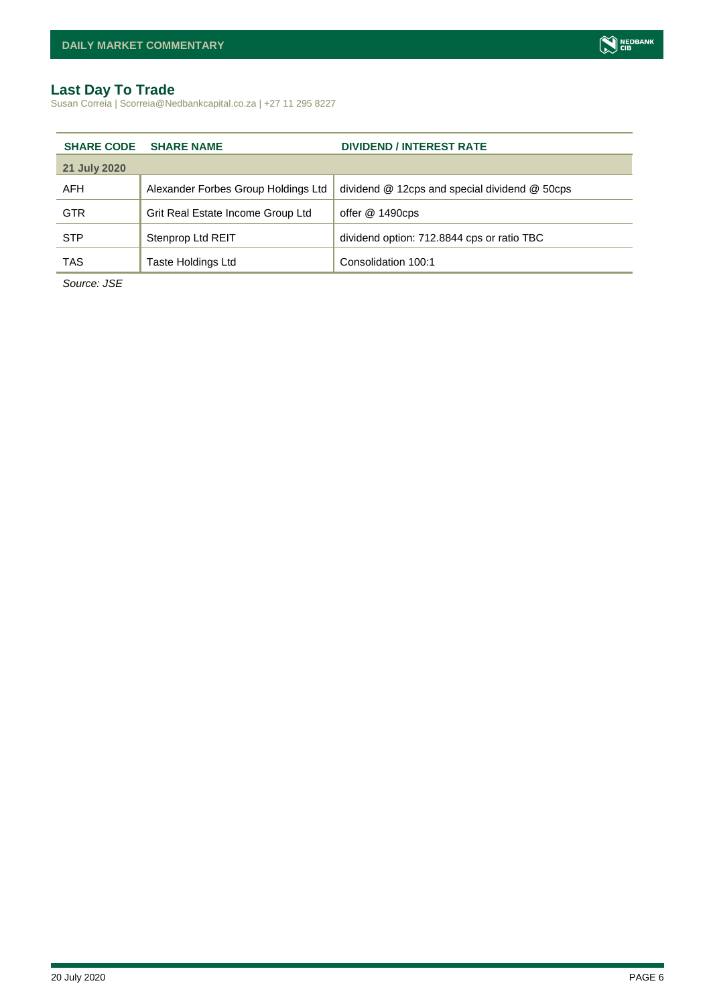# <span id="page-5-0"></span>**Last Day To Trade**

Susan Correia | Scorreia@Nedbankcapital.co.za | +27 11 295 8227

| <b>SHARE CODE</b> | <b>SHARE NAME</b>                   | <b>DIVIDEND / INTEREST RATE</b>               |
|-------------------|-------------------------------------|-----------------------------------------------|
| 21 July 2020      |                                     |                                               |
| AFH               | Alexander Forbes Group Holdings Ltd | dividend @ 12cps and special dividend @ 50cps |
| <b>GTR</b>        | Grit Real Estate Income Group Ltd   | offer @ 1490cps                               |
| <b>STP</b>        | Stenprop Ltd REIT                   | dividend option: 712.8844 cps or ratio TBC    |
| <b>TAS</b>        | <b>Taste Holdings Ltd</b>           | Consolidation 100:1                           |

*Source: JSE*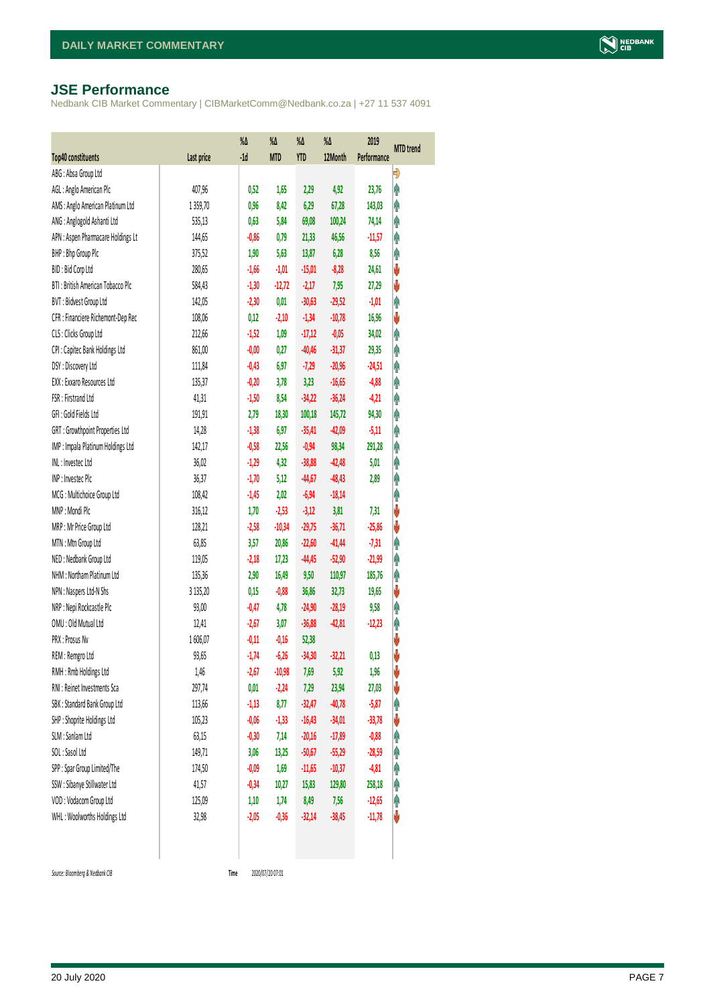### <span id="page-6-0"></span>**JSE Performance**

Nedbank CIB Market Commentary | CIBMarketComm@Nedbank.co.za | +27 11 537 4091

| Top40 constituents                 | Last price | $\%$<br>$-1d$ | $\%$<br><b>MTD</b> | %Δ<br><b>YTD</b> | %Δ<br>12Month | 2019<br>Performance | <b>MTD</b> trend |
|------------------------------------|------------|---------------|--------------------|------------------|---------------|---------------------|------------------|
| ABG: Absa Group Ltd                |            |               |                    |                  |               |                     | Đ                |
| AGL: Anglo American Plc            | 407,96     | 0,52          | 1,65               | 2,29             | 4,92          | 23,76               | φ                |
| AMS: Anglo American Platinum Ltd   | 1359,70    | 0,96          | 8,42               | 6,29             | 67,28         | 143,03              | Ą                |
| ANG: Anglogold Ashanti Ltd         | 535,13     | 0,63          | 5,84               | 69,08            | 100,24        | 74,14               | φ                |
| APN : Aspen Pharmacare Holdings Lt | 144,65     | $-0,86$       | 0,79               | 21,33            | 46,56         | $-11,57$            | Ą                |
| BHP: Bhp Group Plc                 | 375,52     | 1,90          | 5,63               | 13,87            | 6,28          | 8,56                | φ                |
| BID: Bid Corp Ltd                  | 280,65     | $-1,66$       | $-1,01$            | $-15,01$         | $-8,28$       | 24,61               | ψ                |
| BTI: British American Tobacco Plc  | 584,43     | $-1,30$       | $-12,72$           | $-2,17$          | 7,95          | 27,29               | V                |
| BVT: Bidvest Group Ltd             | 142,05     | $-2,30$       | 0,01               | $-30,63$         | $-29,52$      | $-1,01$             | φ                |
| CFR : Financiere Richemont-Dep Rec | 108,06     | 0,12          | $-2,10$            | $-1,34$          | $-10,78$      | 16,96               | ψ                |
| CLS : Clicks Group Ltd             | 212,66     | $-1,52$       | 1,09               | $-17,12$         | $-0,05$       | 34,02               | φ                |
| CPI : Capitec Bank Holdings Ltd    | 861,00     | $-0,00$       | 0,27               | $-40,46$         | $-31,37$      | 29,35               | φ                |
| DSY: Discovery Ltd                 | 111,84     | $-0,43$       | 6,97               | $-7,29$          | $-20,96$      | $-24,51$            | φ                |
| EXX : Exxaro Resources Ltd         | 135,37     | $-0,20$       | 3,78               | 3,23             | $-16,65$      | $-4,88$             | φ                |
| FSR: Firstrand Ltd                 | 41,31      | $-1,50$       | 8,54               | $-34,22$         | $-36,24$      | $-4,21$             | φ                |
| GFI: Gold Fields Ltd               | 191,91     | 2,79          | 18,30              | 100,18           | 145,72        | 94,30               | φ                |
| GRT : Growthpoint Properties Ltd   | 14,28      | $-1,38$       | 6,97               | $-35,41$         | $-42,09$      | $-5,11$             | φ                |
| IMP : Impala Platinum Holdings Ltd | 142,17     | $-0,58$       | 22,56              | $-0,94$          | 98,34         | 291,28              | φ                |
| INL: Investec Ltd                  | 36,02      | $-1,29$       | 4,32               | $-38,88$         | $-42,48$      | 5,01                | φ                |
| INP: Investec Plc                  | 36,37      | $-1,70$       | 5,12               | $-44,67$         | $-48,43$      | 2,89                | φ                |
| MCG: Multichoice Group Ltd         | 108,42     | $-1,45$       | 2,02               | $-6,94$          | $-18,14$      |                     | φ                |
| MNP: Mondi Plc                     | 316,12     | 1,70          | $-2,53$            | $-3,12$          | 3,81          | 7,31                | V                |
| MRP : Mr Price Group Ltd           | 128,21     | $-2,58$       | $-10,34$           | $-29,75$         | $-36,71$      | $-25,86$            | ψ                |
| MTN: Mtn Group Ltd                 | 63,85      | 3,57          | 20,86              | $-22,60$         | $-41,44$      | $-7,31$             | Ą                |
| NED: Nedbank Group Ltd             | 119,05     | $-2,18$       | 17,23              | $-44,45$         | $-52,90$      | $-21,99$            | φ                |
| NHM: Northam Platinum Ltd          | 135,36     | 2,90          | 16,49              | 9,50             | 110,97        | 185,76              | φ                |
| NPN : Naspers Ltd-N Shs            | 3 135,20   | 0,15          | $-0,88$            | 36,86            | 32,73         | 19,65               | ψ                |
| NRP : Nepi Rockcastle Plc          | 93,00      | $-0,47$       | 4,78               | $-24,90$         | $-28,19$      | 9,58                | Λ                |
| OMU: Old Mutual Ltd                | 12,41      | $-2,67$       | 3,07               | $-36,88$         | $-42,81$      | $-12,23$            | φ                |
| PRX : Prosus Nv                    | 1606,07    | $-0,11$       | $-0,16$            | 52,38            |               |                     | ψ                |
| REM : Remgro Ltd                   | 93,65      | $-1,74$       | $-6,26$            | $-34,30$         | $-32,21$      | 0,13                | V                |
| RMH: Rmb Holdings Ltd              | 1,46       | $-2,67$       | $-10,98$           | 7,69             | 5,92          | 1,96                | V                |
| RNI : Reinet Investments Sca       | 297,74     | 0,01          | $-2,24$            | 7,29             | 23,94         | 27,03               | ψ                |
| SBK: Standard Bank Group Ltd       | 113,66     | $-1,13$       | 8,77               | $-32,47$         | $-40,78$      | $-5,87$             | Ĥ                |
| SHP: Shoprite Holdings Ltd         | 105,23     | $-0,06$       | $-1,33$            | $-16,43$         | $-34,01$      | $-33,78$            | ψ                |
| SLM : Sanlam Ltd                   | 63,15      | $-0,30$       | 7,14               | $-20,16$         | $-17,89$      | $-0,88$             | φ                |
| SOL: Sasol Ltd                     | 149,71     | 3,06          | 13,25              | $-50,67$         | $-55,29$      | $-28,59$            | Ĥ                |
| SPP: Spar Group Limited/The        | 174,50     | $-0,09$       | 1,69               | $-11,65$         | $-10,37$      | $-4,81$             | Ĥ                |
| SSW : Sibanye Stillwater Ltd       | 41,57      | $-0,34$       | 10,27              | 15,83            | 129,80        | 258,18              | φ                |
| VOD: Vodacom Group Ltd             | 125,09     | 1,10          | 1,74               | 8,49             | 7,56          | $-12,65$            | φ                |
| WHL: Woolworths Holdings Ltd       | 32,98      | $-2,05$       | $-0,36$            | $-32,14$         | $-38,45$      | $-11,78$            | U                |
|                                    |            |               |                    |                  |               |                     |                  |

 $Source: Bloomberg & Nedbank GB$ 

Time 2020/07/20 07:01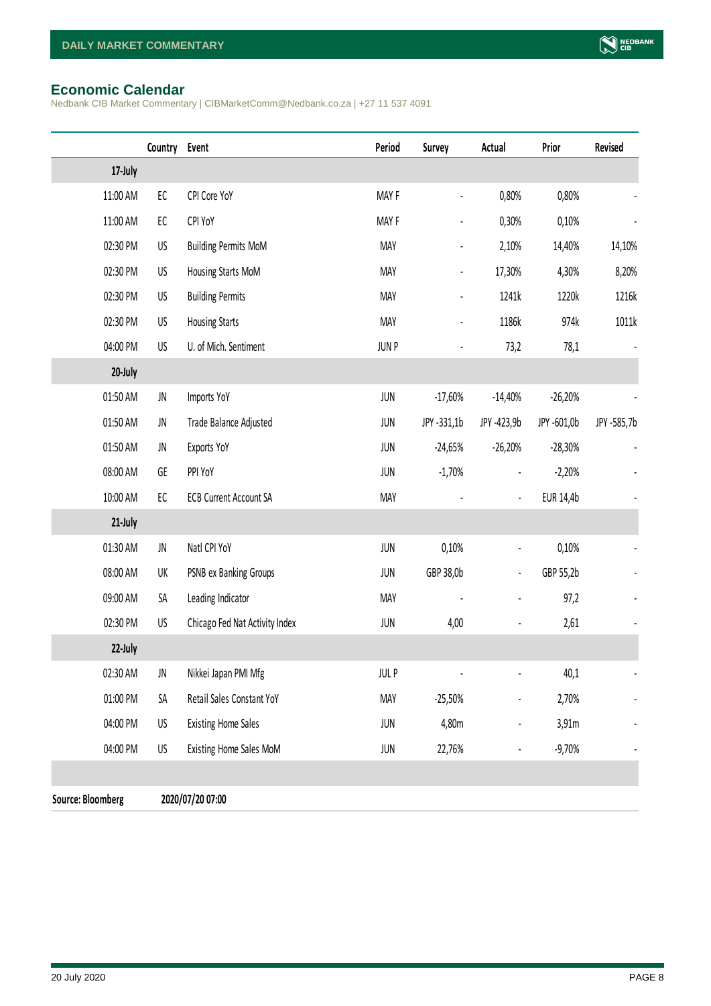## <span id="page-7-0"></span>**Economic Calendar**

Nedbank CIB Market Commentary | CIBMarketComm@Nedbank.co.za | +27 11 537 4091

|                          | Country    | Event                          | Period      | Survey                       | Actual         | Prior       | Revised                  |
|--------------------------|------------|--------------------------------|-------------|------------------------------|----------------|-------------|--------------------------|
| 17-July                  |            |                                |             |                              |                |             |                          |
| 11:00 AM                 | ${\sf EC}$ | CPI Core YoY                   | MAY F       |                              | 0,80%          | 0,80%       |                          |
| 11:00 AM                 | ${\sf EC}$ | CPI YoY                        | MAY F       |                              | 0,30%          | 0,10%       |                          |
| 02:30 PM                 | US         | <b>Building Permits MoM</b>    | <b>MAY</b>  |                              | 2,10%          | 14,40%      | 14,10%                   |
| 02:30 PM                 | US         | Housing Starts MoM             | <b>MAY</b>  | $\qquad \qquad \blacksquare$ | 17,30%         | 4,30%       | 8,20%                    |
| 02:30 PM                 | US         | <b>Building Permits</b>        | <b>MAY</b>  | $\blacksquare$               | 1241k          | 1220k       | 1216k                    |
| 02:30 PM                 | US         | <b>Housing Starts</b>          | <b>MAY</b>  |                              | 1186k          | 974k        | 1011k                    |
| 04:00 PM                 | US         | U. of Mich. Sentiment          | JUN P       |                              | 73,2           | 78,1        |                          |
| 20-July                  |            |                                |             |                              |                |             |                          |
| 01:50 AM                 | JN         | Imports YoY                    | JUN         | $-17,60%$                    | $-14,40%$      | $-26,20%$   |                          |
| 01:50 AM                 | JN         | Trade Balance Adjusted         | <b>JUN</b>  | JPY -331,1b                  | JPY -423,9b    | JPY -601,0b | JPY -585,7b              |
| 01:50 AM                 | JN         | Exports YoY                    | JUN         | $-24,65%$                    | $-26,20%$      | $-28,30%$   |                          |
| 08:00 AM                 | GE         | PPI YoY                        | JUN         | $-1,70%$                     |                | $-2,20%$    |                          |
| 10:00 AM                 | EC         | <b>ECB Current Account SA</b>  | <b>MAY</b>  |                              | $\frac{1}{2}$  | EUR 14,4b   |                          |
| 21-July                  |            |                                |             |                              |                |             |                          |
| 01:30 AM                 | JN         | Natl CPI YoY                   | JUN         | 0,10%                        | $\frac{1}{2}$  | 0,10%       |                          |
| 08:00 AM                 | UK         | PSNB ex Banking Groups         | JUN         | GBP 38,0b                    | $\blacksquare$ | GBP 55,2b   |                          |
| 09:00 AM                 | SА         | Leading Indicator              | <b>MAY</b>  |                              |                | 97,2        |                          |
| 02:30 PM                 | US         | Chicago Fed Nat Activity Index | JUN         | 4,00                         |                | 2,61        |                          |
| 22-July                  |            |                                |             |                              |                |             |                          |
| 02:30 AM                 | JN         | Nikkei Japan PMI Mfg           | <b>JULP</b> |                              |                | 40,1        | $\overline{\phantom{a}}$ |
| 01:00 PM                 | SА         | Retail Sales Constant YoY      | <b>MAY</b>  | $-25,50%$                    |                | 2,70%       |                          |
| 04:00 PM                 | US         | <b>Existing Home Sales</b>     | JUN         | 4,80m                        |                | 3,91m       |                          |
| 04:00 PM                 | US         | Existing Home Sales MoM        | JUN         | 22,76%                       |                | $-9,70%$    |                          |
|                          |            |                                |             |                              |                |             |                          |
| <b>Source: Bloomberg</b> |            | 2020/07/20 07:00               |             |                              |                |             |                          |